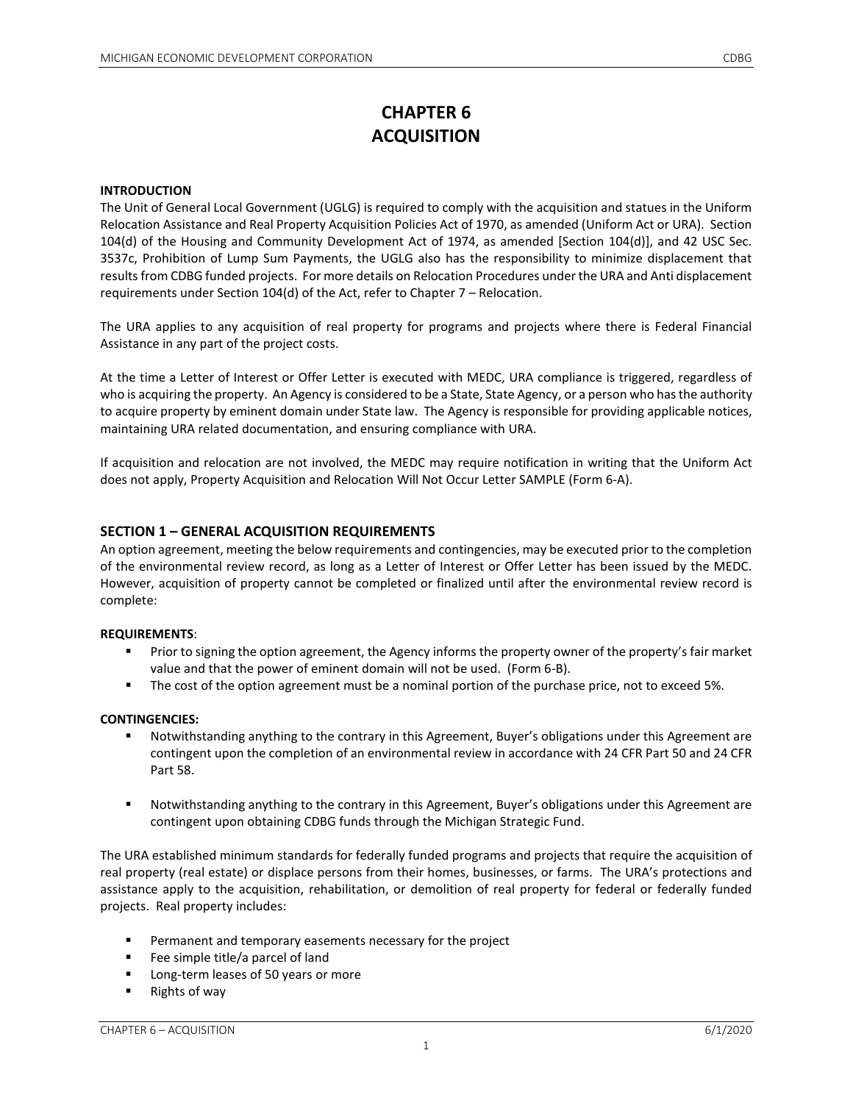# **CHAPTER 6 ACQUISITION**

## **INTRODUCTION**

The Unit of General Local Government (UGLG) is required to comply with the acquisition and statues in the Uniform Relocation Assistance and Real Property Acquisition Policies Act of 1970, as amended (Uniform Act or URA). Section 104(d) of the Housing and Community Development Act of 1974, as amended [Section 104(d)], and 42 USC Sec. 3537c, Prohibition of Lump Sum Payments, the UGLG also has the responsibility to minimize displacement that results from CDBG funded projects. For more details on Relocation Procedures under the URA and Anti displacement requirements under Section 104(d) of the Act, refer to Chapter 7 – Relocation.

The URA applies to any acquisition of real property for programs and projects where there is Federal Financial Assistance in any part of the project costs.

At the time a Letter of Interest or Offer Letter is executed with MEDC, URA compliance is triggered, regardless of who is acquiring the property. An Agency is considered to be a State, State Agency, or a person who has the authority to acquire property by eminent domain under State law. The Agency is responsible for providing applicable notices, maintaining URA related documentation, and ensuring compliance with URA.

If acquisition and relocation are not involved, the MEDC may require notification in writing that the Uniform Act does not apply, Property Acquisition and Relocation Will Not Occur Letter SAMPLE (Form 6-A).

## **SECTION 1 – GENERAL ACQUISITION REQUIREMENTS**

An option agreement, meeting the below requirements and contingencies, may be executed prior to the completion of the environmental review record, as long as a Letter of Interest or Offer Letter has been issued by the MEDC. However, acquisition of property cannot be completed or finalized until after the environmental review record is complete:

#### **REQUIREMENTS**:

- Prior to signing the option agreement, the Agency informs the property owner of the property's fair market value and that the power of eminent domain will not be used. (Form 6-B).
- The cost of the option agreement must be a nominal portion of the purchase price, not to exceed 5%.

#### **CONTINGENCIES:**

- Notwithstanding anything to the contrary in this Agreement, Buyer's obligations under this Agreement are contingent upon the completion of an environmental review in accordance with 24 CFR Part 50 and 24 CFR Part 58.
- Notwithstanding anything to the contrary in this Agreement, Buyer's obligations under this Agreement are contingent upon obtaining CDBG funds through the Michigan Strategic Fund.

The URA established minimum standards for federally funded programs and projects that require the acquisition of real property (real estate) or displace persons from their homes, businesses, or farms. The URA's protections and assistance apply to the acquisition, rehabilitation, or demolition of real property for federal or federally funded projects. Real property includes:

- **Permanent and temporary easements necessary for the project**
- **Fee simple title/a parcel of land**
- **Long-term leases of 50 years or more**
- Rights of way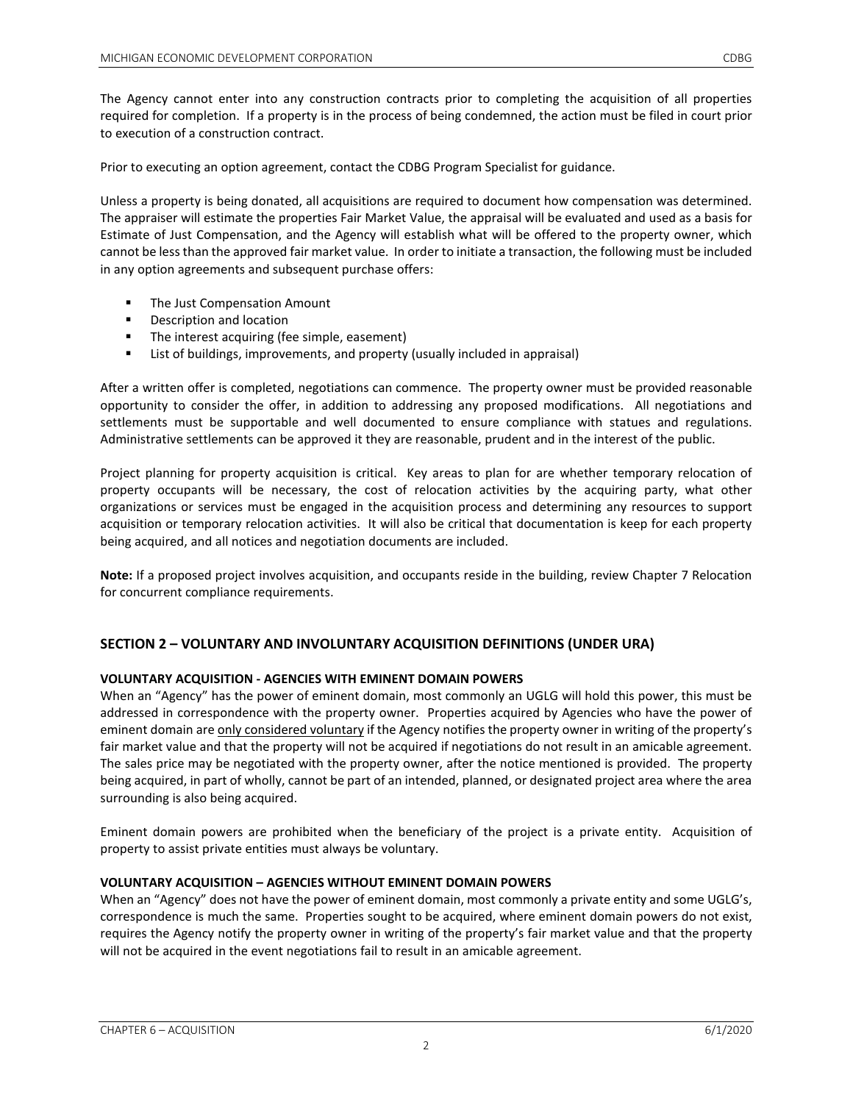The Agency cannot enter into any construction contracts prior to completing the acquisition of all properties required for completion. If a property is in the process of being condemned, the action must be filed in court prior to execution of a construction contract.

Prior to executing an option agreement, contact the CDBG Program Specialist for guidance.

Unless a property is being donated, all acquisitions are required to document how compensation was determined. The appraiser will estimate the properties Fair Market Value, the appraisal will be evaluated and used as a basis for Estimate of Just Compensation, and the Agency will establish what will be offered to the property owner, which cannot be less than the approved fair market value. In order to initiate a transaction, the following must be included in any option agreements and subsequent purchase offers:

- **The Just Compensation Amount**
- **Description and location**
- **The interest acquiring (fee simple, easement)**
- List of buildings, improvements, and property (usually included in appraisal)

After a written offer is completed, negotiations can commence. The property owner must be provided reasonable opportunity to consider the offer, in addition to addressing any proposed modifications. All negotiations and settlements must be supportable and well documented to ensure compliance with statues and regulations. Administrative settlements can be approved it they are reasonable, prudent and in the interest of the public.

Project planning for property acquisition is critical. Key areas to plan for are whether temporary relocation of property occupants will be necessary, the cost of relocation activities by the acquiring party, what other organizations or services must be engaged in the acquisition process and determining any resources to support acquisition or temporary relocation activities. It will also be critical that documentation is keep for each property being acquired, and all notices and negotiation documents are included.

**Note:** If a proposed project involves acquisition, and occupants reside in the building, review Chapter 7 Relocation for concurrent compliance requirements.

# **SECTION 2 – VOLUNTARY AND INVOLUNTARY ACQUISITION DEFINITIONS (UNDER URA)**

# **VOLUNTARY ACQUISITION - AGENCIES WITH EMINENT DOMAIN POWERS**

When an "Agency" has the power of eminent domain, most commonly an UGLG will hold this power, this must be addressed in correspondence with the property owner. Properties acquired by Agencies who have the power of eminent domain are only considered voluntary if the Agency notifies the property owner in writing of the property's fair market value and that the property will not be acquired if negotiations do not result in an amicable agreement. The sales price may be negotiated with the property owner, after the notice mentioned is provided. The property being acquired, in part of wholly, cannot be part of an intended, planned, or designated project area where the area surrounding is also being acquired.

Eminent domain powers are prohibited when the beneficiary of the project is a private entity. Acquisition of property to assist private entities must always be voluntary.

# **VOLUNTARY ACQUISITION – AGENCIES WITHOUT EMINENT DOMAIN POWERS**

When an "Agency" does not have the power of eminent domain, most commonly a private entity and some UGLG's, correspondence is much the same. Properties sought to be acquired, where eminent domain powers do not exist, requires the Agency notify the property owner in writing of the property's fair market value and that the property will not be acquired in the event negotiations fail to result in an amicable agreement.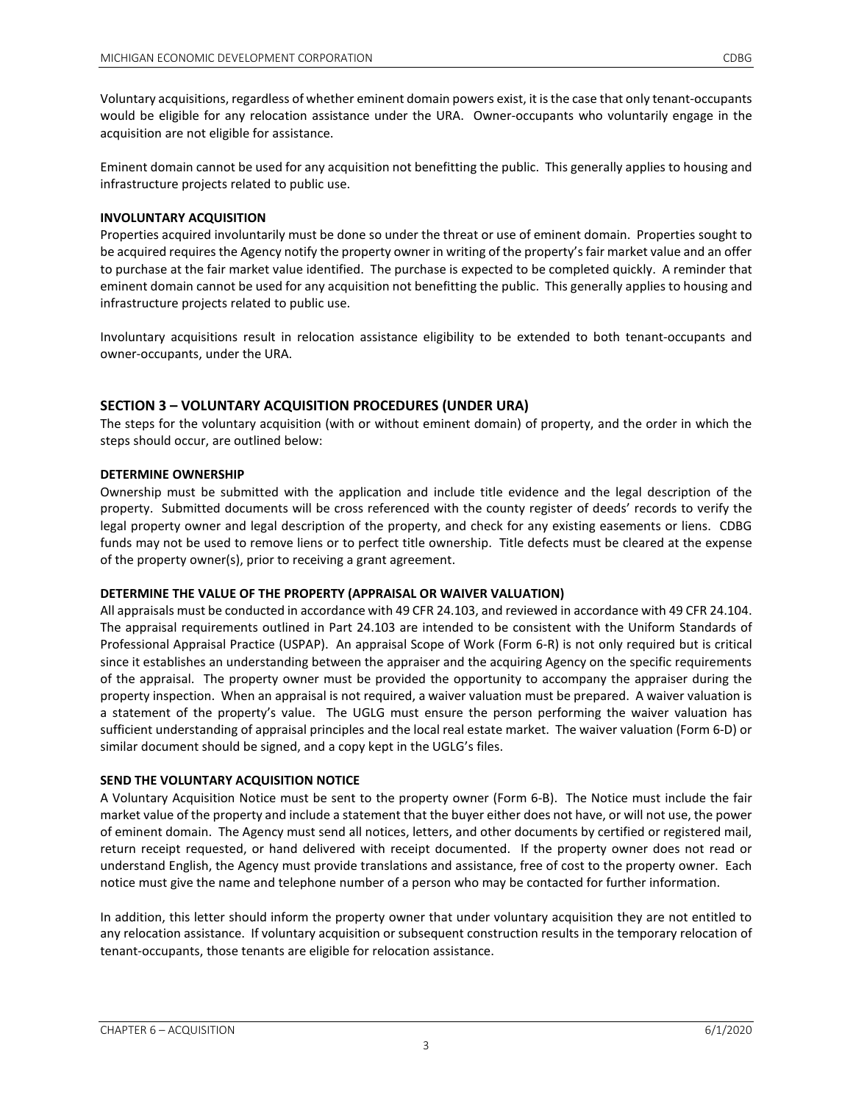Voluntary acquisitions, regardless of whether eminent domain powers exist, it is the case that only tenant-occupants would be eligible for any relocation assistance under the URA. Owner-occupants who voluntarily engage in the acquisition are not eligible for assistance.

Eminent domain cannot be used for any acquisition not benefitting the public. This generally applies to housing and infrastructure projects related to public use.

## **INVOLUNTARY ACQUISITION**

Properties acquired involuntarily must be done so under the threat or use of eminent domain. Properties sought to be acquired requires the Agency notify the property owner in writing of the property's fair market value and an offer to purchase at the fair market value identified. The purchase is expected to be completed quickly. A reminder that eminent domain cannot be used for any acquisition not benefitting the public. This generally applies to housing and infrastructure projects related to public use.

Involuntary acquisitions result in relocation assistance eligibility to be extended to both tenant-occupants and owner-occupants, under the URA.

# **SECTION 3 – VOLUNTARY ACQUISITION PROCEDURES (UNDER URA)**

The steps for the voluntary acquisition (with or without eminent domain) of property, and the order in which the steps should occur, are outlined below:

## **DETERMINE OWNERSHIP**

Ownership must be submitted with the application and include title evidence and the legal description of the property. Submitted documents will be cross referenced with the county register of deeds' records to verify the legal property owner and legal description of the property, and check for any existing easements or liens. CDBG funds may not be used to remove liens or to perfect title ownership. Title defects must be cleared at the expense of the property owner(s), prior to receiving a grant agreement.

#### **DETERMINE THE VALUE OF THE PROPERTY (APPRAISAL OR WAIVER VALUATION)**

All appraisals must be conducted in accordance with 49 CFR 24.103, and reviewed in accordance with 49 CFR 24.104. The appraisal requirements outlined in Part 24.103 are intended to be consistent with the Uniform Standards of Professional Appraisal Practice (USPAP). An appraisal Scope of Work (Form 6-R) is not only required but is critical since it establishes an understanding between the appraiser and the acquiring Agency on the specific requirements of the appraisal. The property owner must be provided the opportunity to accompany the appraiser during the property inspection. When an appraisal is not required, a waiver valuation must be prepared. A waiver valuation is a statement of the property's value. The UGLG must ensure the person performing the waiver valuation has sufficient understanding of appraisal principles and the local real estate market. The waiver valuation (Form 6-D) or similar document should be signed, and a copy kept in the UGLG's files.

# **SEND THE VOLUNTARY ACQUISITION NOTICE**

A Voluntary Acquisition Notice must be sent to the property owner (Form 6-B). The Notice must include the fair market value of the property and include a statement that the buyer either does not have, or will not use, the power of eminent domain. The Agency must send all notices, letters, and other documents by certified or registered mail, return receipt requested, or hand delivered with receipt documented. If the property owner does not read or understand English, the Agency must provide translations and assistance, free of cost to the property owner. Each notice must give the name and telephone number of a person who may be contacted for further information.

In addition, this letter should inform the property owner that under voluntary acquisition they are not entitled to any relocation assistance. If voluntary acquisition or subsequent construction results in the temporary relocation of tenant-occupants, those tenants are eligible for relocation assistance.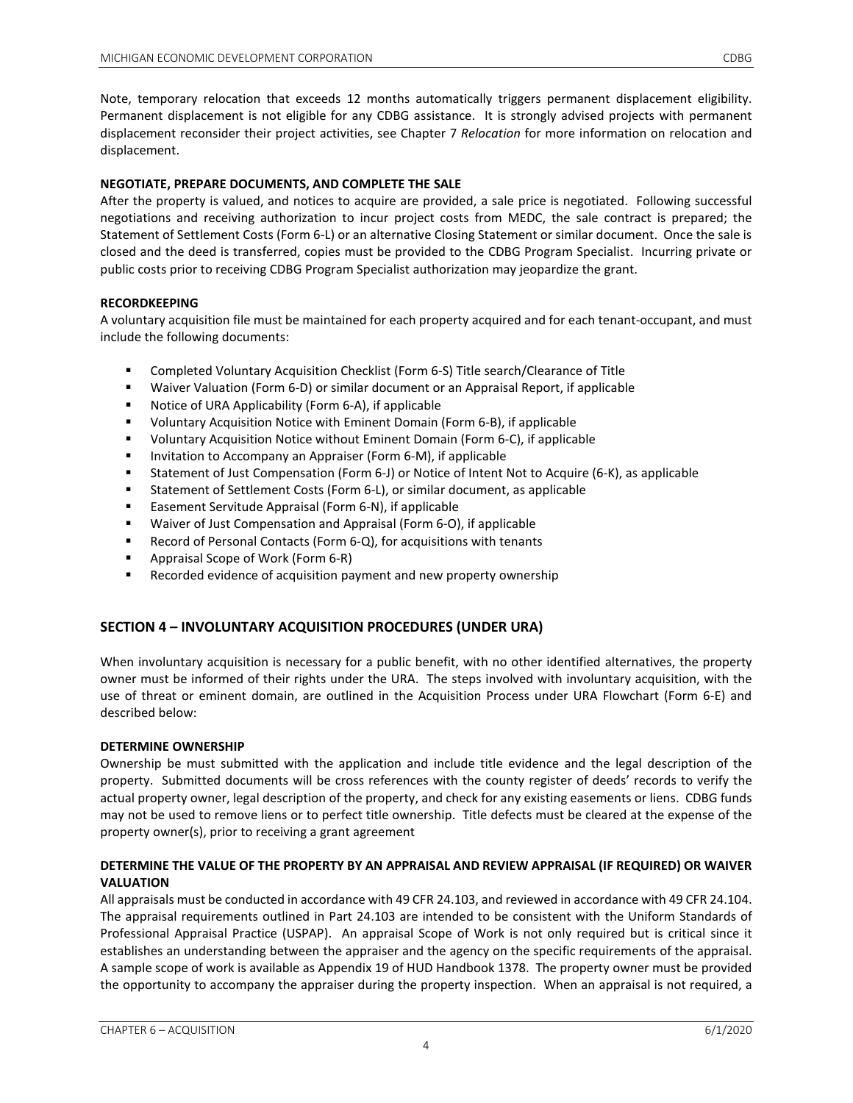Note, temporary relocation that exceeds 12 months automatically triggers permanent displacement eligibility. Permanent displacement is not eligible for any CDBG assistance. It is strongly advised projects with permanent displacement reconsider their project activities, see Chapter 7 *Relocation* for more information on relocation and displacement.

# **NEGOTIATE, PREPARE DOCUMENTS, AND COMPLETE THE SALE**

After the property is valued, and notices to acquire are provided, a sale price is negotiated. Following successful negotiations and receiving authorization to incur project costs from MEDC, the sale contract is prepared; the Statement of Settlement Costs (Form 6-L) or an alternative Closing Statement or similar document. Once the sale is closed and the deed is transferred, copies must be provided to the CDBG Program Specialist. Incurring private or public costs prior to receiving CDBG Program Specialist authorization may jeopardize the grant.

# **RECORDKEEPING**

A voluntary acquisition file must be maintained for each property acquired and for each tenant-occupant, and must include the following documents:

- Completed Voluntary Acquisition Checklist (Form 6-S) Title search/Clearance of Title
- Waiver Valuation (Form 6-D) or similar document or an Appraisal Report, if applicable
- **Notice of URA Applicability (Form 6-A), if applicable**
- Voluntary Acquisition Notice with Eminent Domain (Form 6-B), if applicable
- Voluntary Acquisition Notice without Eminent Domain (Form 6-C), if applicable
- **Invitation to Accompany an Appraiser (Form 6-M), if applicable**
- Statement of Just Compensation (Form 6-J) or Notice of Intent Not to Acquire (6-K), as applicable
- Statement of Settlement Costs (Form 6-L), or similar document, as applicable
- Easement Servitude Appraisal (Form 6-N), if applicable
- Waiver of Just Compensation and Appraisal (Form 6-O), if applicable
- Record of Personal Contacts (Form 6-Q), for acquisitions with tenants
- **Appraisal Scope of Work (Form 6-R)**
- **EXECOLDED EXECOLDED** Parament and new property ownership

# **SECTION 4 – INVOLUNTARY ACQUISITION PROCEDURES (UNDER URA)**

When involuntary acquisition is necessary for a public benefit, with no other identified alternatives, the property owner must be informed of their rights under the URA. The steps involved with involuntary acquisition, with the use of threat or eminent domain, are outlined in the Acquisition Process under URA Flowchart (Form 6-E) and described below:

# **DETERMINE OWNERSHIP**

Ownership be must submitted with the application and include title evidence and the legal description of the property. Submitted documents will be cross references with the county register of deeds' records to verify the actual property owner, legal description of the property, and check for any existing easements or liens. CDBG funds may not be used to remove liens or to perfect title ownership. Title defects must be cleared at the expense of the property owner(s), prior to receiving a grant agreement

# **DETERMINE THE VALUE OF THE PROPERTY BY AN APPRAISAL AND REVIEW APPRAISAL (IF REQUIRED) OR WAIVER VALUATION**

All appraisals must be conducted in accordance with 49 CFR 24.103, and reviewed in accordance with 49 CFR 24.104. The appraisal requirements outlined in Part 24.103 are intended to be consistent with the Uniform Standards of Professional Appraisal Practice (USPAP). An appraisal Scope of Work is not only required but is critical since it establishes an understanding between the appraiser and the agency on the specific requirements of the appraisal. A sample scope of work is available as Appendix 19 of HUD Handbook 1378. The property owner must be provided the opportunity to accompany the appraiser during the property inspection. When an appraisal is not required, a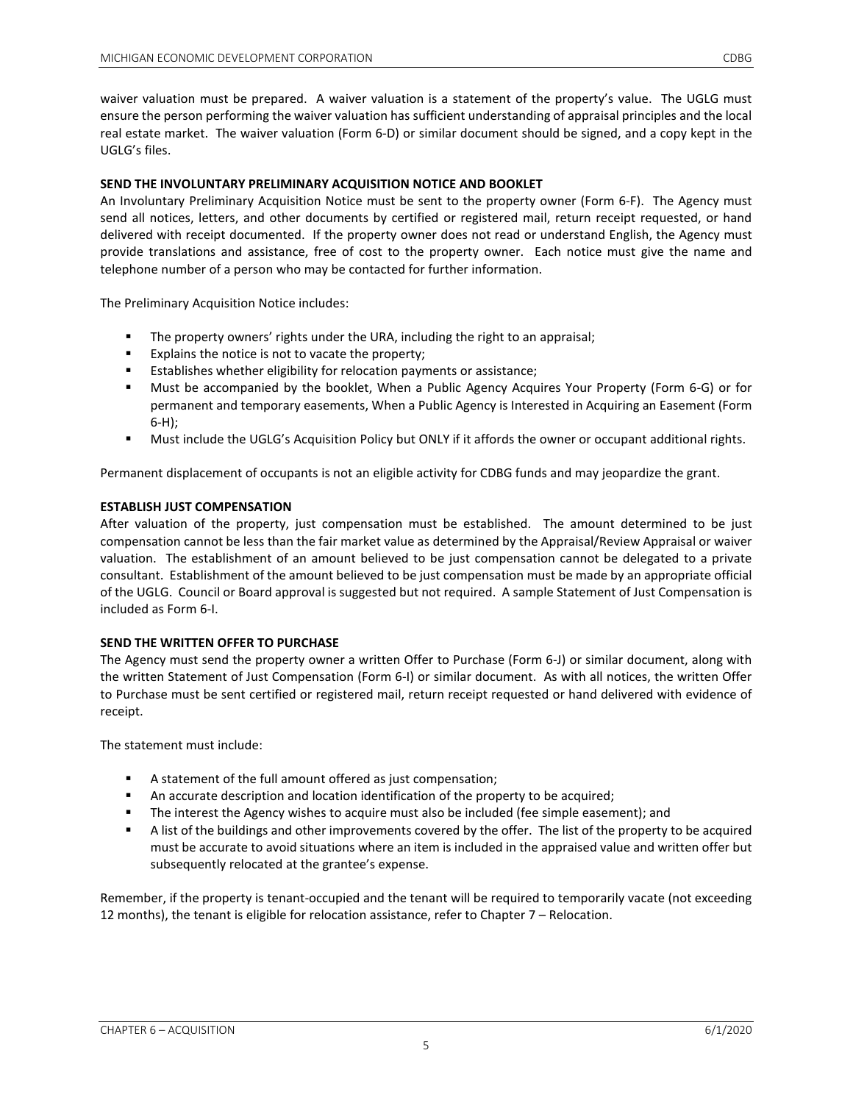waiver valuation must be prepared. A waiver valuation is a statement of the property's value. The UGLG must ensure the person performing the waiver valuation has sufficient understanding of appraisal principles and the local real estate market. The waiver valuation (Form 6-D) or similar document should be signed, and a copy kept in the UGLG's files.

# **SEND THE INVOLUNTARY PRELIMINARY ACQUISITION NOTICE AND BOOKLET**

An Involuntary Preliminary Acquisition Notice must be sent to the property owner (Form 6-F). The Agency must send all notices, letters, and other documents by certified or registered mail, return receipt requested, or hand delivered with receipt documented. If the property owner does not read or understand English, the Agency must provide translations and assistance, free of cost to the property owner. Each notice must give the name and telephone number of a person who may be contacted for further information.

The Preliminary Acquisition Notice includes:

- **The property owners' rights under the URA, including the right to an appraisal;**
- Explains the notice is not to vacate the property;
- **Establishes whether eligibility for relocation payments or assistance;**
- Must be accompanied by the booklet, When a Public Agency Acquires Your Property (Form 6-G) or for permanent and temporary easements, When a Public Agency is Interested in Acquiring an Easement (Form 6-H);
- Must include the UGLG's Acquisition Policy but ONLY if it affords the owner or occupant additional rights.

Permanent displacement of occupants is not an eligible activity for CDBG funds and may jeopardize the grant.

# **ESTABLISH JUST COMPENSATION**

After valuation of the property, just compensation must be established. The amount determined to be just compensation cannot be less than the fair market value as determined by the Appraisal/Review Appraisal or waiver valuation. The establishment of an amount believed to be just compensation cannot be delegated to a private consultant. Establishment of the amount believed to be just compensation must be made by an appropriate official of the UGLG. Council or Board approval is suggested but not required. A sample Statement of Just Compensation is included as Form 6-I.

# **SEND THE WRITTEN OFFER TO PURCHASE**

The Agency must send the property owner a written Offer to Purchase (Form 6-J) or similar document, along with the written Statement of Just Compensation (Form 6-I) or similar document. As with all notices, the written Offer to Purchase must be sent certified or registered mail, return receipt requested or hand delivered with evidence of receipt.

The statement must include:

- A statement of the full amount offered as just compensation;
- An accurate description and location identification of the property to be acquired;
- The interest the Agency wishes to acquire must also be included (fee simple easement); and
- A list of the buildings and other improvements covered by the offer. The list of the property to be acquired must be accurate to avoid situations where an item is included in the appraised value and written offer but subsequently relocated at the grantee's expense.

Remember, if the property is tenant-occupied and the tenant will be required to temporarily vacate (not exceeding 12 months), the tenant is eligible for relocation assistance, refer to Chapter 7 – Relocation.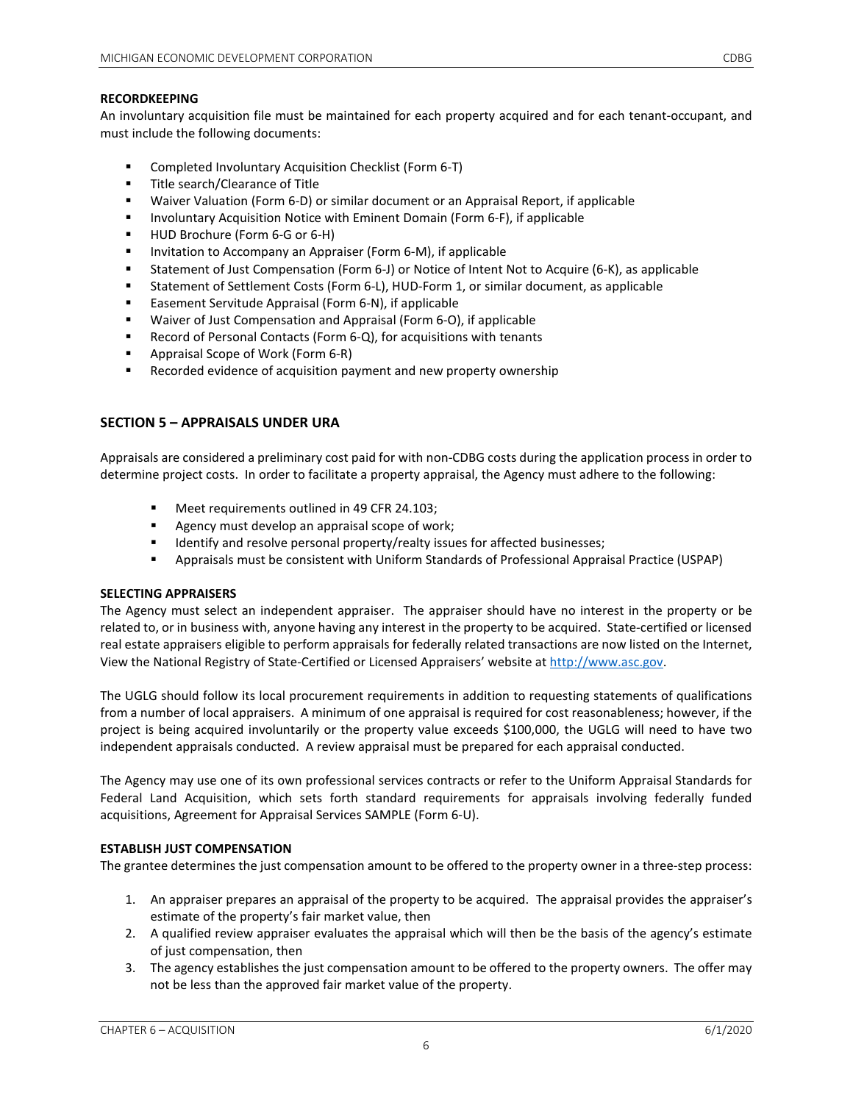## **RECORDKEEPING**

An involuntary acquisition file must be maintained for each property acquired and for each tenant-occupant, and must include the following documents:

- Completed Involuntary Acquisition Checklist (Form 6-T)
- **Title search/Clearance of Title**
- Waiver Valuation (Form 6-D) or similar document or an Appraisal Report, if applicable
- **Involuntary Acquisition Notice with Eminent Domain (Form 6-F), if applicable**
- HUD Brochure (Form 6-G or 6-H)
- **Invitation to Accompany an Appraiser (Form 6-M), if applicable**
- Statement of Just Compensation (Form 6-J) or Notice of Intent Not to Acquire (6-K), as applicable
- Statement of Settlement Costs (Form 6-L), HUD-Form 1, or similar document, as applicable
- Easement Servitude Appraisal (Form 6-N), if applicable
- Waiver of Just Compensation and Appraisal (Form 6-O), if applicable
- Record of Personal Contacts (Form 6-Q), for acquisitions with tenants
- Appraisal Scope of Work (Form 6-R)
- **EXECORDED EXECORDED** Recorded evidence of acquisition payment and new property ownership

# **SECTION 5 – APPRAISALS UNDER URA**

Appraisals are considered a preliminary cost paid for with non-CDBG costs during the application process in order to determine project costs. In order to facilitate a property appraisal, the Agency must adhere to the following:

- Meet requirements outlined in 49 CFR 24.103;
- **Agency must develop an appraisal scope of work;**
- **IDENTIFY 19** Identify and resolve personal property/realty issues for affected businesses;
- Appraisals must be consistent with Uniform Standards of Professional Appraisal Practice (USPAP)

#### **SELECTING APPRAISERS**

The Agency must select an independent appraiser. The appraiser should have no interest in the property or be related to, or in business with, anyone having any interest in the property to be acquired. State-certified or licensed real estate appraisers eligible to perform appraisals for federally related transactions are now listed on the Internet, View the National Registry of State-Certified or Licensed Appraisers' website a[t http://www.asc.gov.](http://www.asc.gov/) 

The UGLG should follow its local procurement requirements in addition to requesting statements of qualifications from a number of local appraisers. A minimum of one appraisal is required for cost reasonableness; however, if the project is being acquired involuntarily or the property value exceeds \$100,000, the UGLG will need to have two independent appraisals conducted. A review appraisal must be prepared for each appraisal conducted.

The Agency may use one of its own professional services contracts or refer to the Uniform Appraisal Standards for Federal Land Acquisition, which sets forth standard requirements for appraisals involving federally funded acquisitions, Agreement for Appraisal Services SAMPLE (Form 6-U).

#### **ESTABLISH JUST COMPENSATION**

The grantee determines the just compensation amount to be offered to the property owner in a three-step process:

- 1. An appraiser prepares an appraisal of the property to be acquired. The appraisal provides the appraiser's estimate of the property's fair market value, then
- 2. A qualified review appraiser evaluates the appraisal which will then be the basis of the agency's estimate of just compensation, then
- 3. The agency establishes the just compensation amount to be offered to the property owners. The offer may not be less than the approved fair market value of the property.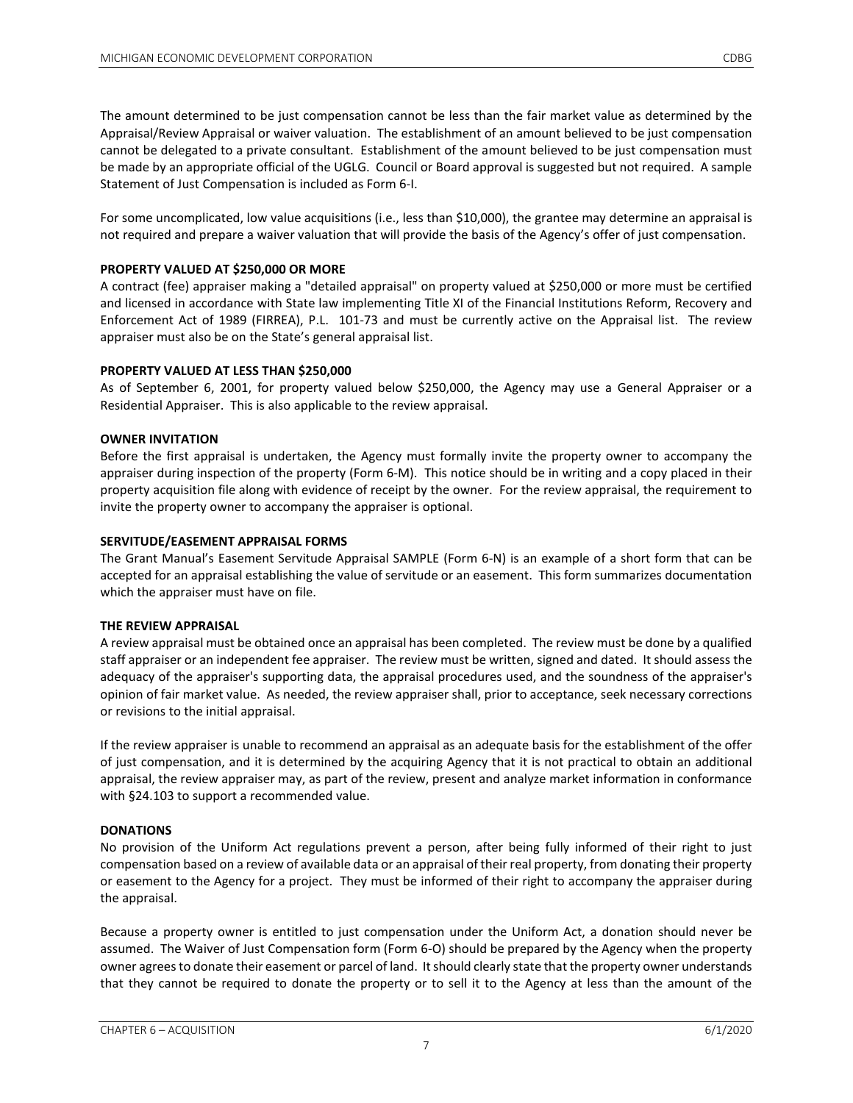Statement of Just Compensation is included as Form 6-I.

The amount determined to be just compensation cannot be less than the fair market value as determined by the Appraisal/Review Appraisal or waiver valuation. The establishment of an amount believed to be just compensation cannot be delegated to a private consultant. Establishment of the amount believed to be just compensation must

For some uncomplicated, low value acquisitions (i.e., less than \$10,000), the grantee may determine an appraisal is not required and prepare a waiver valuation that will provide the basis of the Agency's offer of just compensation.

be made by an appropriate official of the UGLG. Council or Board approval is suggested but not required. A sample

## **PROPERTY VALUED AT \$250,000 OR MORE**

A contract (fee) appraiser making a "detailed appraisal" on property valued at \$250,000 or more must be certified and licensed in accordance with State law implementing Title XI of the Financial Institutions Reform, Recovery and Enforcement Act of 1989 (FIRREA), P.L. 101-73 and must be currently active on the Appraisal list. The review appraiser must also be on the State's general appraisal list.

#### **PROPERTY VALUED AT LESS THAN \$250,000**

As of September 6, 2001, for property valued below \$250,000, the Agency may use a General Appraiser or a Residential Appraiser. This is also applicable to the review appraisal.

## **OWNER INVITATION**

Before the first appraisal is undertaken, the Agency must formally invite the property owner to accompany the appraiser during inspection of the property (Form 6-M). This notice should be in writing and a copy placed in their property acquisition file along with evidence of receipt by the owner. For the review appraisal, the requirement to invite the property owner to accompany the appraiser is optional.

## **SERVITUDE/EASEMENT APPRAISAL FORMS**

The Grant Manual's Easement Servitude Appraisal SAMPLE (Form 6-N) is an example of a short form that can be accepted for an appraisal establishing the value of servitude or an easement. This form summarizes documentation which the appraiser must have on file.

#### **THE REVIEW APPRAISAL**

A review appraisal must be obtained once an appraisal has been completed. The review must be done by a qualified staff appraiser or an independent fee appraiser. The review must be written, signed and dated. It should assess the adequacy of the appraiser's supporting data, the appraisal procedures used, and the soundness of the appraiser's opinion of fair market value. As needed, the review appraiser shall, prior to acceptance, seek necessary corrections or revisions to the initial appraisal.

If the review appraiser is unable to recommend an appraisal as an adequate basis for the establishment of the offer of just compensation, and it is determined by the acquiring Agency that it is not practical to obtain an additional appraisal, the review appraiser may, as part of the review, present and analyze market information in conformance with §24.103 to support a recommended value.

#### **DONATIONS**

No provision of the Uniform Act regulations prevent a person, after being fully informed of their right to just compensation based on a review of available data or an appraisal of their real property, from donating their property or easement to the Agency for a project. They must be informed of their right to accompany the appraiser during the appraisal.

Because a property owner is entitled to just compensation under the Uniform Act, a donation should never be assumed. The Waiver of Just Compensation form (Form 6-O) should be prepared by the Agency when the property owner agrees to donate their easement or parcel of land. It should clearly state that the property owner understands that they cannot be required to donate the property or to sell it to the Agency at less than the amount of the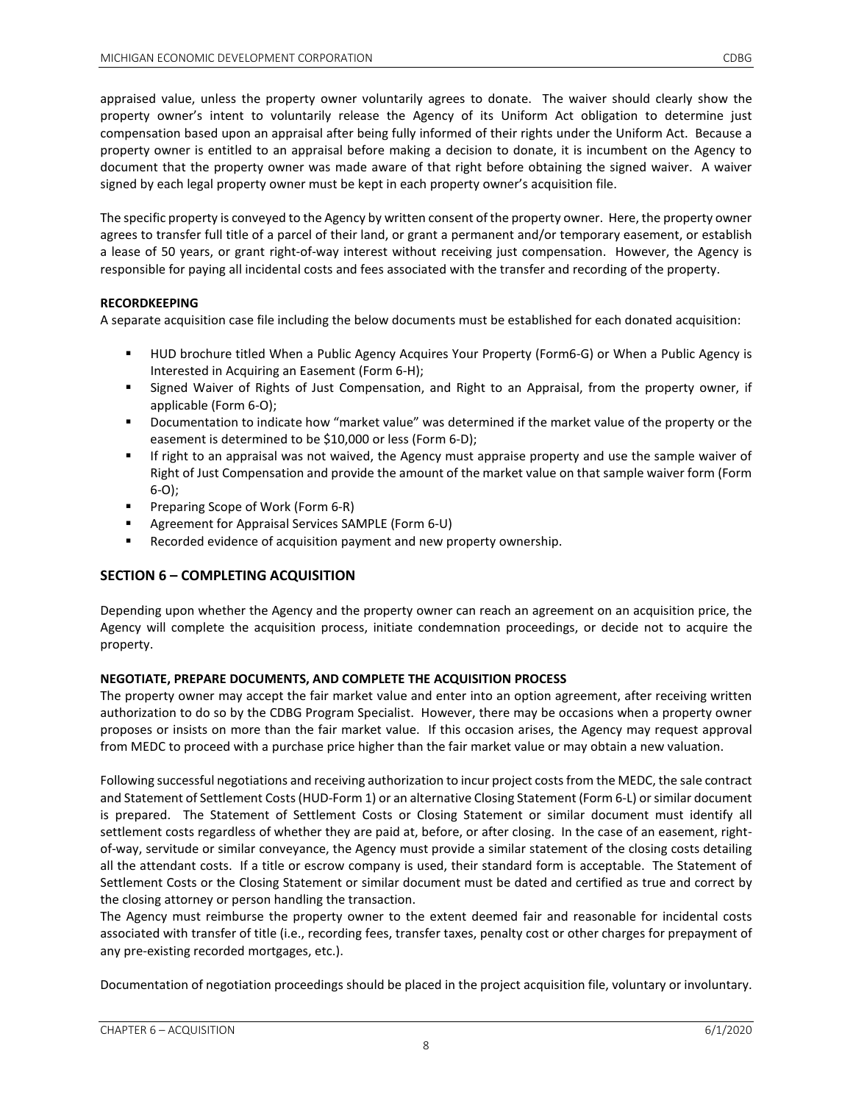appraised value, unless the property owner voluntarily agrees to donate. The waiver should clearly show the property owner's intent to voluntarily release the Agency of its Uniform Act obligation to determine just compensation based upon an appraisal after being fully informed of their rights under the Uniform Act. Because a property owner is entitled to an appraisal before making a decision to donate, it is incumbent on the Agency to document that the property owner was made aware of that right before obtaining the signed waiver. A waiver signed by each legal property owner must be kept in each property owner's acquisition file.

The specific property is conveyed to the Agency by written consent of the property owner. Here, the property owner agrees to transfer full title of a parcel of their land, or grant a permanent and/or temporary easement, or establish a lease of 50 years, or grant right-of-way interest without receiving just compensation. However, the Agency is responsible for paying all incidental costs and fees associated with the transfer and recording of the property.

# **RECORDKEEPING**

A separate acquisition case file including the below documents must be established for each donated acquisition:

- HUD brochure titled When a Public Agency Acquires Your Property (Form6-G) or When a Public Agency is Interested in Acquiring an Easement (Form 6-H);
- **Signed Waiver of Rights of Just Compensation, and Right to an Appraisal, from the property owner, if** applicable (Form 6-O);
- **Documentation to indicate how "market value" was determined if the market value of the property or the** easement is determined to be \$10,000 or less (Form 6-D);
- If right to an appraisal was not waived, the Agency must appraise property and use the sample waiver of Right of Just Compensation and provide the amount of the market value on that sample waiver form (Form 6-O);
- **Preparing Scope of Work (Form 6-R)**
- Agreement for Appraisal Services SAMPLE (Form 6-U)
- Recorded evidence of acquisition payment and new property ownership.

# **SECTION 6 – COMPLETING ACQUISITION**

Depending upon whether the Agency and the property owner can reach an agreement on an acquisition price, the Agency will complete the acquisition process, initiate condemnation proceedings, or decide not to acquire the property.

# **NEGOTIATE, PREPARE DOCUMENTS, AND COMPLETE THE ACQUISITION PROCESS**

The property owner may accept the fair market value and enter into an option agreement, after receiving written authorization to do so by the CDBG Program Specialist. However, there may be occasions when a property owner proposes or insists on more than the fair market value. If this occasion arises, the Agency may request approval from MEDC to proceed with a purchase price higher than the fair market value or may obtain a new valuation.

Following successful negotiations and receiving authorization to incur project costs from the MEDC, the sale contract and Statement of Settlement Costs (HUD-Form 1) or an alternative Closing Statement (Form 6-L) or similar document is prepared. The Statement of Settlement Costs or Closing Statement or similar document must identify all settlement costs regardless of whether they are paid at, before, or after closing. In the case of an easement, rightof-way, servitude or similar conveyance, the Agency must provide a similar statement of the closing costs detailing all the attendant costs. If a title or escrow company is used, their standard form is acceptable. The Statement of Settlement Costs or the Closing Statement or similar document must be dated and certified as true and correct by the closing attorney or person handling the transaction.

The Agency must reimburse the property owner to the extent deemed fair and reasonable for incidental costs associated with transfer of title (i.e., recording fees, transfer taxes, penalty cost or other charges for prepayment of any pre-existing recorded mortgages, etc.).

Documentation of negotiation proceedings should be placed in the project acquisition file, voluntary or involuntary.

8